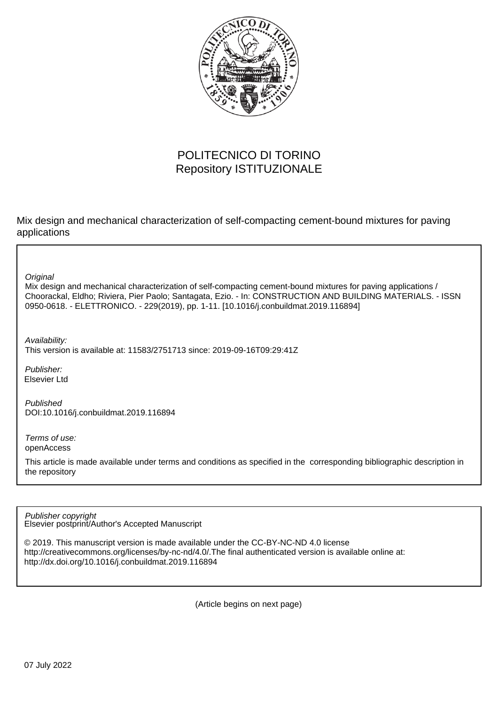

# POLITECNICO DI TORINO Repository ISTITUZIONALE

Mix design and mechanical characterization of self-compacting cement-bound mixtures for paving applications

**Original** 

Mix design and mechanical characterization of self-compacting cement-bound mixtures for paving applications / Choorackal, Eldho; Riviera, Pier Paolo; Santagata, Ezio. - In: CONSTRUCTION AND BUILDING MATERIALS. - ISSN 0950-0618. - ELETTRONICO. - 229(2019), pp. 1-11. [10.1016/j.conbuildmat.2019.116894]

Availability: This version is available at: 11583/2751713 since: 2019-09-16T09:29:41Z

Publisher: Elsevier Ltd

Published DOI:10.1016/j.conbuildmat.2019.116894

Terms of use: openAccess

This article is made available under terms and conditions as specified in the corresponding bibliographic description in the repository

Elsevier postprint/Author's Accepted Manuscript Publisher copyright

© 2019. This manuscript version is made available under the CC-BY-NC-ND 4.0 license http://creativecommons.org/licenses/by-nc-nd/4.0/.The final authenticated version is available online at: http://dx.doi.org/10.1016/j.conbuildmat.2019.116894

(Article begins on next page)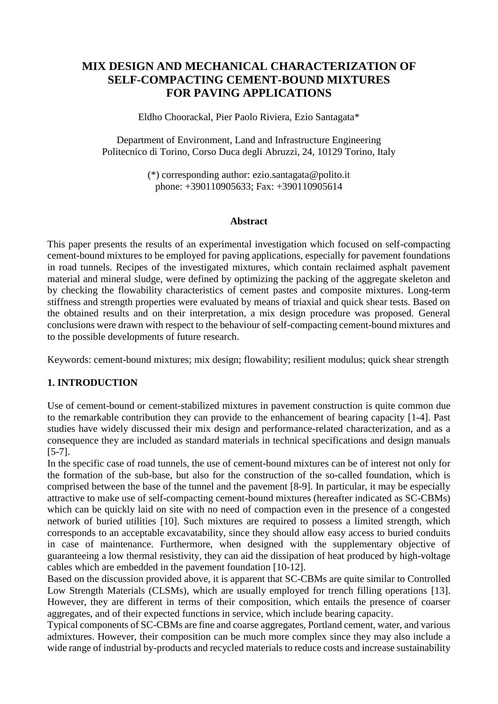## **MIX DESIGN AND MECHANICAL CHARACTERIZATION OF SELF-COMPACTING CEMENT-BOUND MIXTURES FOR PAVING APPLICATIONS**

Eldho Choorackal, Pier Paolo Riviera, Ezio Santagata\*

Department of Environment, Land and Infrastructure Engineering Politecnico di Torino, Corso Duca degli Abruzzi, 24, 10129 Torino, Italy

> (\*) corresponding author: ezio.santagat[a@polito.it](mailto:eldho.choorackal@polito.it) phone: +390110905633; Fax: +390110905614

#### **Abstract**

This paper presents the results of an experimental investigation which focused on self-compacting cement-bound mixtures to be employed for paving applications, especially for pavement foundations in road tunnels. Recipes of the investigated mixtures, which contain reclaimed asphalt pavement material and mineral sludge, were defined by optimizing the packing of the aggregate skeleton and by checking the flowability characteristics of cement pastes and composite mixtures. Long-term stiffness and strength properties were evaluated by means of triaxial and quick shear tests. Based on the obtained results and on their interpretation, a mix design procedure was proposed. General conclusions were drawn with respect to the behaviour of self-compacting cement-bound mixtures and to the possible developments of future research.

Keywords: cement-bound mixtures; mix design; flowability; resilient modulus; quick shear strength

### **1. INTRODUCTION**

Use of cement-bound or cement-stabilized mixtures in pavement construction is quite common due to the remarkable contribution they can provide to the enhancement of bearing capacity [1-4]. Past studies have widely discussed their mix design and performance-related characterization, and as a consequence they are included as standard materials in technical specifications and design manuals [5-7].

In the specific case of road tunnels, the use of cement-bound mixtures can be of interest not only for the formation of the sub-base, but also for the construction of the so-called foundation, which is comprised between the base of the tunnel and the pavement [8-9]. In particular, it may be especially attractive to make use of self-compacting cement-bound mixtures (hereafter indicated as SC-CBMs) which can be quickly laid on site with no need of compaction even in the presence of a congested network of buried utilities [10]. Such mixtures are required to possess a limited strength, which corresponds to an acceptable excavatability, since they should allow easy access to buried conduits in case of maintenance. Furthermore, when designed with the supplementary objective of guaranteeing a low thermal resistivity, they can aid the dissipation of heat produced by high-voltage cables which are embedded in the pavement foundation [10-12].

Based on the discussion provided above, it is apparent that SC-CBMs are quite similar to Controlled Low Strength Materials (CLSMs), which are usually employed for trench filling operations [13]. However, they are different in terms of their composition, which entails the presence of coarser aggregates, and of their expected functions in service, which include bearing capacity.

Typical components of SC-CBMs are fine and coarse aggregates, Portland cement, water, and various admixtures. However, their composition can be much more complex since they may also include a wide range of industrial by-products and recycled materials to reduce costs and increase sustainability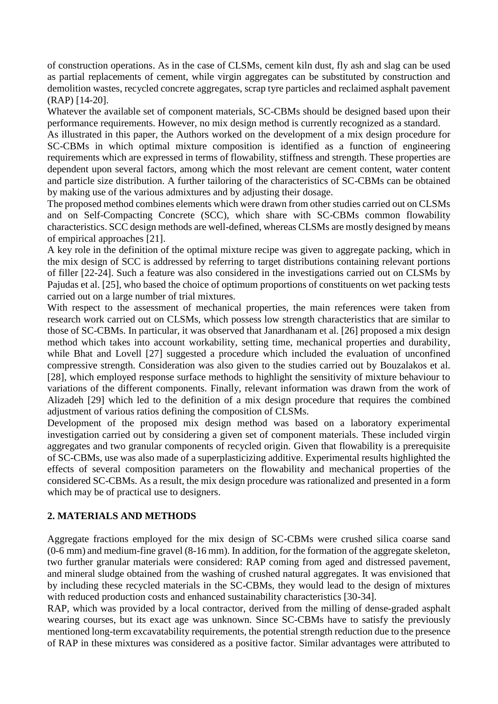of construction operations. As in the case of CLSMs, cement kiln dust, fly ash and slag can be used as partial replacements of cement, while virgin aggregates can be substituted by construction and demolition wastes, recycled concrete aggregates, scrap tyre particles and reclaimed asphalt pavement (RAP) [14-20].

Whatever the available set of component materials, SC-CBMs should be designed based upon their performance requirements. However, no mix design method is currently recognized as a standard.

As illustrated in this paper, the Authors worked on the development of a mix design procedure for SC-CBMs in which optimal mixture composition is identified as a function of engineering requirements which are expressed in terms of flowability, stiffness and strength. These properties are dependent upon several factors, among which the most relevant are cement content, water content and particle size distribution. A further tailoring of the characteristics of SC-CBMs can be obtained by making use of the various admixtures and by adjusting their dosage.

The proposed method combines elements which were drawn from other studies carried out on CLSMs and on Self-Compacting Concrete (SCC), which share with SC-CBMs common flowability characteristics. SCC design methods are well-defined, whereas CLSMs are mostly designed by means of empirical approaches [21].

A key role in the definition of the optimal mixture recipe was given to aggregate packing, which in the mix design of SCC is addressed by referring to target distributions containing relevant portions of filler [22-24]. Such a feature was also considered in the investigations carried out on CLSMs by Pajudas et al. [25], who based the choice of optimum proportions of constituents on wet packing tests carried out on a large number of trial mixtures.

With respect to the assessment of mechanical properties, the main references were taken from research work carried out on CLSMs, which possess low strength characteristics that are similar to those of SC-CBMs. In particular, it was observed that Janardhanam et al. [26] proposed a mix design method which takes into account workability, setting time, mechanical properties and durability, while Bhat and Lovell [27] suggested a procedure which included the evaluation of unconfined compressive strength. Consideration was also given to the studies carried out by Bouzalakos et al. [28], which employed response surface methods to highlight the sensitivity of mixture behaviour to variations of the different components. Finally, relevant information was drawn from the work of Alizadeh [29] which led to the definition of a mix design procedure that requires the combined adjustment of various ratios defining the composition of CLSMs.

Development of the proposed mix design method was based on a laboratory experimental investigation carried out by considering a given set of component materials. These included virgin aggregates and two granular components of recycled origin. Given that flowability is a prerequisite of SC-CBMs, use was also made of a superplasticizing additive. Experimental results highlighted the effects of several composition parameters on the flowability and mechanical properties of the considered SC-CBMs. As a result, the mix design procedure was rationalized and presented in a form which may be of practical use to designers.

## **2. MATERIALS AND METHODS**

Aggregate fractions employed for the mix design of SC-CBMs were crushed silica coarse sand (0-6 mm) and medium-fine gravel (8-16 mm). In addition, for the formation of the aggregate skeleton, two further granular materials were considered: RAP coming from aged and distressed pavement, and mineral sludge obtained from the washing of crushed natural aggregates. It was envisioned that by including these recycled materials in the SC-CBMs, they would lead to the design of mixtures with reduced production costs and enhanced sustainability characteristics [30-34].

RAP, which was provided by a local contractor, derived from the milling of dense-graded asphalt wearing courses, but its exact age was unknown. Since SC-CBMs have to satisfy the previously mentioned long-term excavatability requirements, the potential strength reduction due to the presence of RAP in these mixtures was considered as a positive factor. Similar advantages were attributed to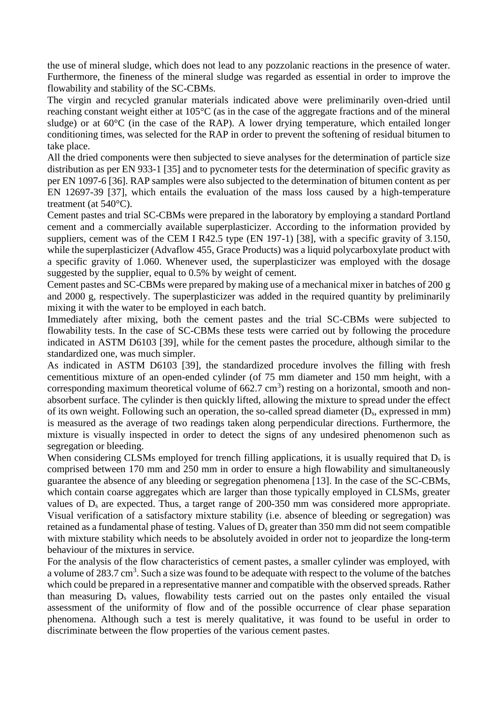the use of mineral sludge, which does not lead to any pozzolanic reactions in the presence of water. Furthermore, the fineness of the mineral sludge was regarded as essential in order to improve the flowability and stability of the SC-CBMs.

The virgin and recycled granular materials indicated above were preliminarily oven-dried until reaching constant weight either at 105°C (as in the case of the aggregate fractions and of the mineral sludge) or at 60°C (in the case of the RAP). A lower drying temperature, which entailed longer conditioning times, was selected for the RAP in order to prevent the softening of residual bitumen to take place.

All the dried components were then subjected to sieve analyses for the determination of particle size distribution as per EN 933-1 [35] and to pycnometer tests for the determination of specific gravity as per EN 1097-6 [36]. RAP samples were also subjected to the determination of bitumen content as per EN 12697-39 [37], which entails the evaluation of the mass loss caused by a high-temperature treatment (at 540°C).

Cement pastes and trial SC-CBMs were prepared in the laboratory by employing a standard Portland cement and a commercially available superplasticizer. According to the information provided by suppliers, cement was of the CEM I R42.5 type (EN 197-1) [38], with a specific gravity of 3.150, while the superplasticizer (Advaflow 455, Grace Products) was a liquid polycarboxylate product with a specific gravity of 1.060. Whenever used, the superplasticizer was employed with the dosage suggested by the supplier, equal to 0.5% by weight of cement.

Cement pastes and SC-CBMs were prepared by making use of a mechanical mixer in batches of 200 g and 2000 g, respectively. The superplasticizer was added in the required quantity by preliminarily mixing it with the water to be employed in each batch.

Immediately after mixing, both the cement pastes and the trial SC-CBMs were subjected to flowability tests. In the case of SC-CBMs these tests were carried out by following the procedure indicated in ASTM D6103 [39], while for the cement pastes the procedure, although similar to the standardized one, was much simpler.

As indicated in ASTM D6103 [39], the standardized procedure involves the filling with fresh cementitious mixture of an open-ended cylinder (of 75 mm diameter and 150 mm height, with a corresponding maximum theoretical volume of  $662.7 \text{ cm}^3$ ) resting on a horizontal, smooth and nonabsorbent surface. The cylinder is then quickly lifted, allowing the mixture to spread under the effect of its own weight. Following such an operation, the so-called spread diameter (Ds, expressed in mm) is measured as the average of two readings taken along perpendicular directions. Furthermore, the mixture is visually inspected in order to detect the signs of any undesired phenomenon such as segregation or bleeding.

When considering CLSMs employed for trench filling applications, it is usually required that  $D_s$  is comprised between 170 mm and 250 mm in order to ensure a high flowability and simultaneously guarantee the absence of any bleeding or segregation phenomena [13]. In the case of the SC-CBMs, which contain coarse aggregates which are larger than those typically employed in CLSMs, greater values of  $D_s$  are expected. Thus, a target range of 200-350 mm was considered more appropriate. Visual verification of a satisfactory mixture stability (i.e. absence of bleeding or segregation) was retained as a fundamental phase of testing. Values of  $D_s$  greater than 350 mm did not seem compatible with mixture stability which needs to be absolutely avoided in order not to jeopardize the long-term behaviour of the mixtures in service.

For the analysis of the flow characteristics of cement pastes, a smaller cylinder was employed, with a volume of  $283.7 \text{ cm}^3$ . Such a size was found to be adequate with respect to the volume of the batches which could be prepared in a representative manner and compatible with the observed spreads. Rather than measuring  $D_s$  values, flowability tests carried out on the pastes only entailed the visual assessment of the uniformity of flow and of the possible occurrence of clear phase separation phenomena. Although such a test is merely qualitative, it was found to be useful in order to discriminate between the flow properties of the various cement pastes.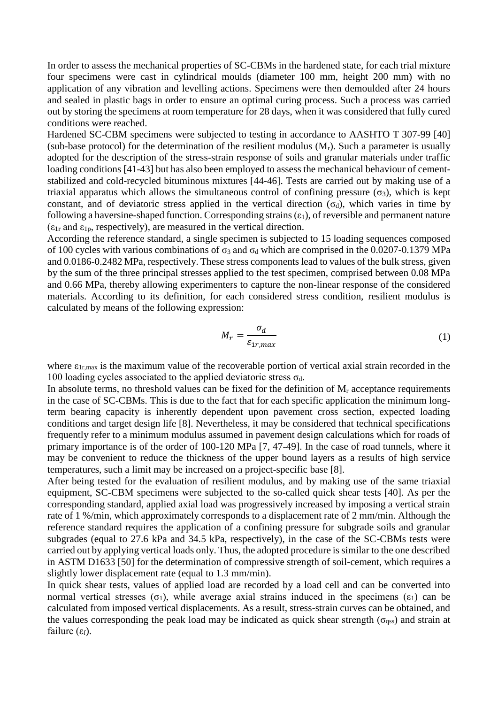In order to assess the mechanical properties of SC-CBMs in the hardened state, for each trial mixture four specimens were cast in cylindrical moulds (diameter 100 mm, height 200 mm) with no application of any vibration and levelling actions. Specimens were then demoulded after 24 hours and sealed in plastic bags in order to ensure an optimal curing process. Such a process was carried out by storing the specimens at room temperature for 28 days, when it was considered that fully cured conditions were reached.

Hardened SC-CBM specimens were subjected to testing in accordance to AASHTO T 307-99 [40] (sub-base protocol) for the determination of the resilient modulus  $(M_r)$ . Such a parameter is usually adopted for the description of the stress-strain response of soils and granular materials under traffic loading conditions [41-43] but has also been employed to assess the mechanical behaviour of cementstabilized and cold-recycled bituminous mixtures [44-46]. Tests are carried out by making use of a triaxial apparatus which allows the simultaneous control of confining pressure  $(\sigma_3)$ , which is kept constant, and of deviatoric stress applied in the vertical direction  $(\sigma_d)$ , which varies in time by following a haversine-shaped function. Corresponding strains  $(\epsilon_1)$ , of reversible and permanent nature  $(\epsilon_{1r}$  and  $\epsilon_{1p}$ , respectively), are measured in the vertical direction.

According the reference standard, a single specimen is subjected to 15 loading sequences composed of 100 cycles with various combinations of  $\sigma_3$  and  $\sigma_d$  which are comprised in the 0.0207-0.1379 MPa and 0.0186-0.2482 MPa, respectively. These stress components lead to values of the bulk stress, given by the sum of the three principal stresses applied to the test specimen, comprised between 0.08 MPa and 0.66 MPa, thereby allowing experimenters to capture the non-linear response of the considered materials. According to its definition, for each considered stress condition, resilient modulus is calculated by means of the following expression:

$$
M_r = \frac{\sigma_d}{\varepsilon_{1r,max}}\tag{1}
$$

where  $\varepsilon_{1r,max}$  is the maximum value of the recoverable portion of vertical axial strain recorded in the 100 loading cycles associated to the applied deviatoric stress  $\sigma_d$ .

In absolute terms, no threshold values can be fixed for the definition of  $M_r$  acceptance requirements in the case of SC-CBMs. This is due to the fact that for each specific application the minimum longterm bearing capacity is inherently dependent upon pavement cross section, expected loading conditions and target design life [8]. Nevertheless, it may be considered that technical specifications frequently refer to a minimum modulus assumed in pavement design calculations which for roads of primary importance is of the order of 100-120 MPa [7, 47-49]. In the case of road tunnels, where it may be convenient to reduce the thickness of the upper bound layers as a results of high service temperatures, such a limit may be increased on a project-specific base [8].

After being tested for the evaluation of resilient modulus, and by making use of the same triaxial equipment, SC-CBM specimens were subjected to the so-called quick shear tests [40]. As per the corresponding standard, applied axial load was progressively increased by imposing a vertical strain rate of 1 %/min, which approximately corresponds to a displacement rate of 2 mm/min. Although the reference standard requires the application of a confining pressure for subgrade soils and granular subgrades (equal to 27.6 kPa and 34.5 kPa, respectively), in the case of the SC-CBMs tests were carried out by applying vertical loads only. Thus, the adopted procedure is similar to the one described in ASTM D1633 [50] for the determination of compressive strength of soil-cement, which requires a slightly lower displacement rate (equal to 1.3 mm/min).

In quick shear tests, values of applied load are recorded by a load cell and can be converted into normal vertical stresses (σ<sub>1</sub>), while average axial strains induced in the specimens (ε<sub>1</sub>) can be calculated from imposed vertical displacements. As a result, stress-strain curves can be obtained, and the values corresponding the peak load may be indicated as quick shear strength ( $\sigma_{\text{ass}}$ ) and strain at failure  $(ε<sub>f</sub>)$ .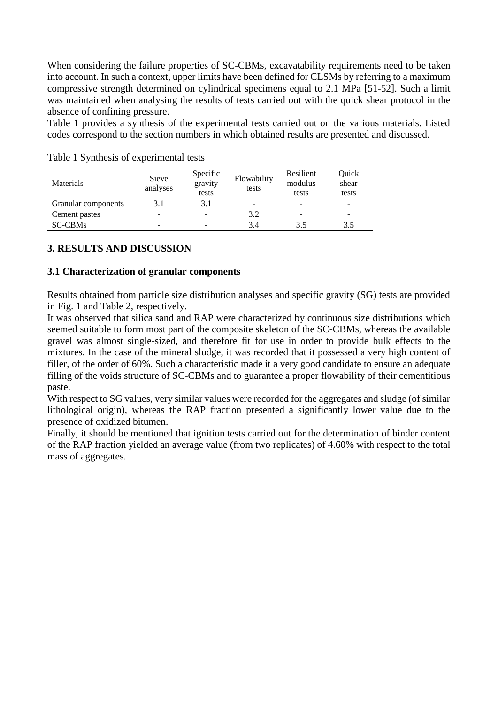When considering the failure properties of SC-CBMs, excavatability requirements need to be taken into account. In such a context, upper limits have been defined for CLSMs by referring to a maximum compressive strength determined on cylindrical specimens equal to 2.1 MPa [51-52]. Such a limit was maintained when analysing the results of tests carried out with the quick shear protocol in the absence of confining pressure.

Table 1 provides a synthesis of the experimental tests carried out on the various materials. Listed codes correspond to the section numbers in which obtained results are presented and discussed.

| Materials           | Sieve<br>analyses | Specific<br>gravity<br>tests | Flowability<br>tests | Resilient<br>modulus<br>tests | Ouick<br>shear<br>tests |
|---------------------|-------------------|------------------------------|----------------------|-------------------------------|-------------------------|
| Granular components | 3.1               | 3.1                          |                      |                               |                         |
| Cement pastes       | -                 | $\overline{\phantom{0}}$     | 3.2                  | -                             | -                       |
| <b>SC-CBMs</b>      | -                 |                              | 3.4                  | 3.5                           | 3.5                     |

Table 1 Synthesis of experimental tests

## **3. RESULTS AND DISCUSSION**

## **3.1 Characterization of granular components**

Results obtained from particle size distribution analyses and specific gravity (SG) tests are provided in Fig. 1 and Table 2, respectively.

It was observed that silica sand and RAP were characterized by continuous size distributions which seemed suitable to form most part of the composite skeleton of the SC-CBMs, whereas the available gravel was almost single-sized, and therefore fit for use in order to provide bulk effects to the mixtures. In the case of the mineral sludge, it was recorded that it possessed a very high content of filler, of the order of 60%. Such a characteristic made it a very good candidate to ensure an adequate filling of the voids structure of SC-CBMs and to guarantee a proper flowability of their cementitious paste.

With respect to SG values, very similar values were recorded for the aggregates and sludge (of similar lithological origin), whereas the RAP fraction presented a significantly lower value due to the presence of oxidized bitumen.

Finally, it should be mentioned that ignition tests carried out for the determination of binder content of the RAP fraction yielded an average value (from two replicates) of 4.60% with respect to the total mass of aggregates.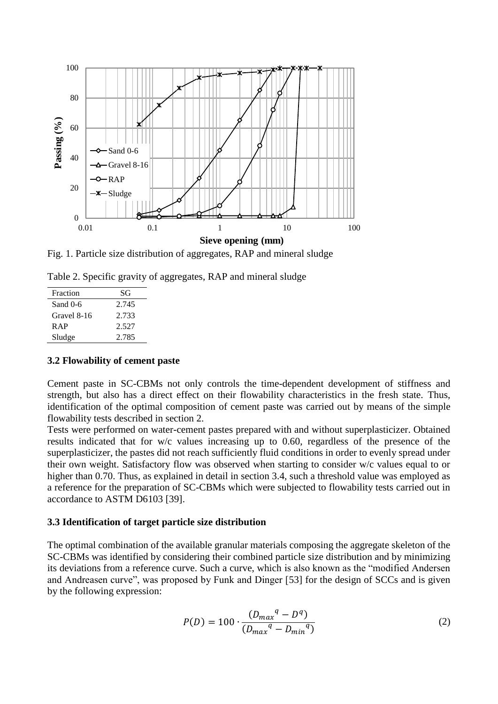

Fig. 1. Particle size distribution of aggregates, RAP and mineral sludge

|  | Table 2. Specific gravity of aggregates, RAP and mineral sludge |  |  |
|--|-----------------------------------------------------------------|--|--|
|  |                                                                 |  |  |

| Fraction    | SG    |
|-------------|-------|
| Sand $0-6$  | 2.745 |
| Gravel 8-16 | 2.733 |
| R AP        | 2.527 |
| Sludge      | 2.785 |

#### **3.2 Flowability of cement paste**

Cement paste in SC-CBMs not only controls the time-dependent development of stiffness and strength, but also has a direct effect on their flowability characteristics in the fresh state. Thus, identification of the optimal composition of cement paste was carried out by means of the simple flowability tests described in section 2.

Tests were performed on water-cement pastes prepared with and without superplasticizer. Obtained results indicated that for w/c values increasing up to 0.60, regardless of the presence of the superplasticizer, the pastes did not reach sufficiently fluid conditions in order to evenly spread under their own weight. Satisfactory flow was observed when starting to consider w/c values equal to or higher than 0.70. Thus, as explained in detail in section 3.4, such a threshold value was employed as a reference for the preparation of SC-CBMs which were subjected to flowability tests carried out in accordance to ASTM D6103 [39].

### **3.3 Identification of target particle size distribution**

The optimal combination of the available granular materials composing the aggregate skeleton of the SC-CBMs was identified by considering their combined particle size distribution and by minimizing its deviations from a reference curve. Such a curve, which is also known as the "modified Andersen and Andreasen curve", was proposed by Funk and Dinger [53] for the design of SCCs and is given by the following expression:

$$
P(D) = 100 \cdot \frac{(D_{max}^{q} - D^{q})}{(D_{max}^{q} - D_{min}^{q})}
$$
 (2)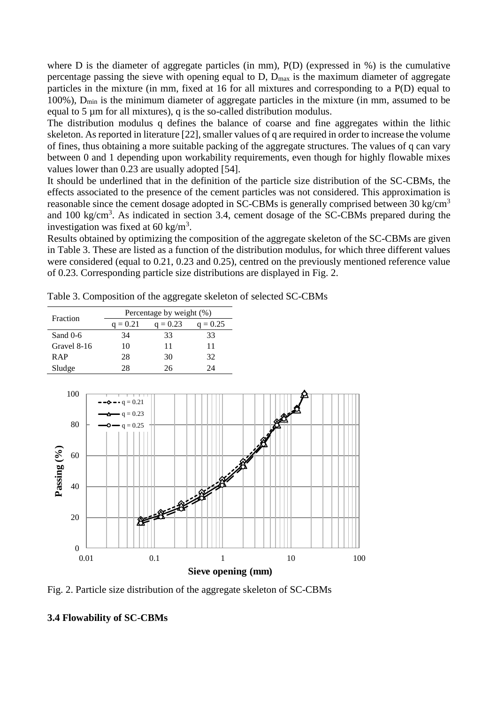where D is the diameter of aggregate particles (in mm),  $P(D)$  (expressed in %) is the cumulative percentage passing the sieve with opening equal to  $D$ ,  $D_{\text{max}}$  is the maximum diameter of aggregate particles in the mixture (in mm, fixed at 16 for all mixtures and corresponding to a P(D) equal to 100%),  $D_{\text{min}}$  is the minimum diameter of aggregate particles in the mixture (in mm, assumed to be equal to  $5 \mu m$  for all mixtures), q is the so-called distribution modulus.

The distribution modulus q defines the balance of coarse and fine aggregates within the lithic skeleton. As reported in literature [22], smaller values of q are required in order to increase the volume of fines, thus obtaining a more suitable packing of the aggregate structures. The values of q can vary between 0 and 1 depending upon workability requirements, even though for highly flowable mixes values lower than 0.23 are usually adopted [54].

It should be underlined that in the definition of the particle size distribution of the SC-CBMs, the effects associated to the presence of the cement particles was not considered. This approximation is reasonable since the cement dosage adopted in SC-CBMs is generally comprised between 30 kg/cm<sup>3</sup> and 100 kg/cm<sup>3</sup>. As indicated in section 3.4, cement dosage of the SC-CBMs prepared during the investigation was fixed at 60 kg/ $m<sup>3</sup>$ .

Results obtained by optimizing the composition of the aggregate skeleton of the SC-CBMs are given in Table 3. These are listed as a function of the distribution modulus, for which three different values were considered (equal to 0.21, 0.23 and 0.25), centred on the previously mentioned reference value of 0.23. Corresponding particle size distributions are displayed in Fig. 2.

Table 3. Composition of the aggregate skeleton of selected SC-CBMs

| Fraction    | Percentage by weight (%) |            |            |  |
|-------------|--------------------------|------------|------------|--|
|             | $q = 0.21$               | $q = 0.23$ | $q = 0.25$ |  |
| Sand $0-6$  | 34                       | 33         | 33         |  |
| Gravel 8-16 | 10                       | 11         | 11         |  |
| <b>RAP</b>  | 28                       | 30         | 32         |  |
| Sludge      | 28                       | 26         | 9Δ         |  |



Fig. 2. Particle size distribution of the aggregate skeleton of SC-CBMs

### **3.4 Flowability of SC-CBMs**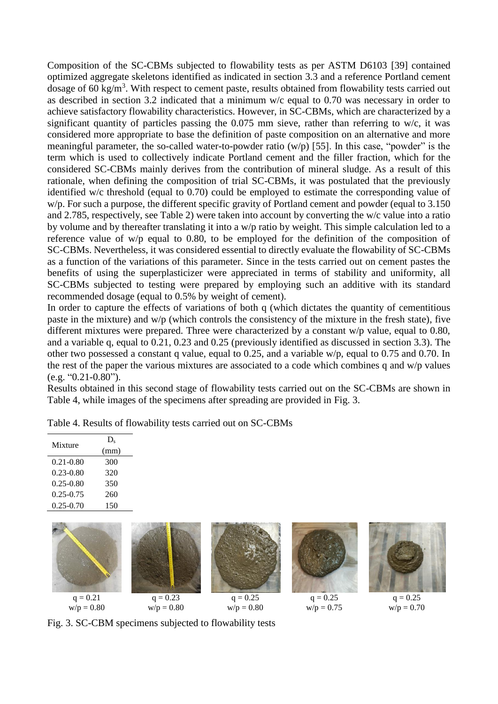Composition of the SC-CBMs subjected to flowability tests as per ASTM D6103 [39] contained optimized aggregate skeletons identified as indicated in section 3.3 and a reference Portland cement dosage of 60 kg/m<sup>3</sup>. With respect to cement paste, results obtained from flowability tests carried out as described in section 3.2 indicated that a minimum w/c equal to 0.70 was necessary in order to achieve satisfactory flowability characteristics. However, in SC-CBMs, which are characterized by a significant quantity of particles passing the 0.075 mm sieve, rather than referring to w/c, it was considered more appropriate to base the definition of paste composition on an alternative and more meaningful parameter, the so-called water-to-powder ratio (w/p) [55]. In this case, "powder" is the term which is used to collectively indicate Portland cement and the filler fraction, which for the considered SC-CBMs mainly derives from the contribution of mineral sludge. As a result of this rationale, when defining the composition of trial SC-CBMs, it was postulated that the previously identified w/c threshold (equal to 0.70) could be employed to estimate the corresponding value of w/p. For such a purpose, the different specific gravity of Portland cement and powder (equal to 3.150 and 2.785, respectively, see Table 2) were taken into account by converting the w/c value into a ratio by volume and by thereafter translating it into a w/p ratio by weight. This simple calculation led to a reference value of w/p equal to 0.80, to be employed for the definition of the composition of SC-CBMs. Nevertheless, it was considered essential to directly evaluate the flowability of SC-CBMs as a function of the variations of this parameter. Since in the tests carried out on cement pastes the benefits of using the superplasticizer were appreciated in terms of stability and uniformity, all SC-CBMs subjected to testing were prepared by employing such an additive with its standard recommended dosage (equal to 0.5% by weight of cement).

In order to capture the effects of variations of both q (which dictates the quantity of cementitious paste in the mixture) and w/p (which controls the consistency of the mixture in the fresh state), five different mixtures were prepared. Three were characterized by a constant w/p value, equal to 0.80, and a variable q, equal to 0.21, 0.23 and 0.25 (previously identified as discussed in section 3.3). The other two possessed a constant q value, equal to 0.25, and a variable w/p, equal to 0.75 and 0.70. In the rest of the paper the various mixtures are associated to a code which combines q and w/p values  $(e.g. "0.21-0.80").$ 

Results obtained in this second stage of flowability tests carried out on the SC-CBMs are shown in Table 4, while images of the specimens after spreading are provided in Fig. 3.

| Mixture       | $D_{s}$ |  |
|---------------|---------|--|
|               | (mm)    |  |
| $0.21 - 0.80$ | 300     |  |
| $0.23 - 0.80$ | 320     |  |
| $0.25 - 0.80$ | 350     |  |
| $0.25 - 0.75$ | 260     |  |
| $0.25 - 0.70$ | 150     |  |
|               |         |  |

Table 4. Results of flowability tests carried out on SC-CBMs



Fig. 3. SC-CBM specimens subjected to flowability tests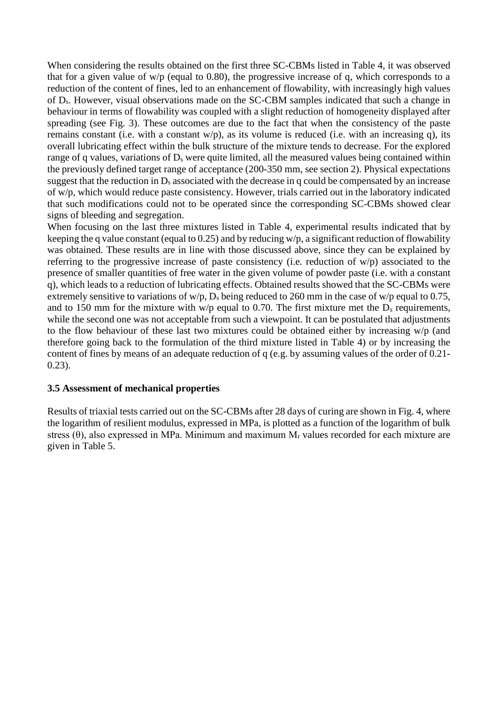When considering the results obtained on the first three SC-CBMs listed in Table 4, it was observed that for a given value of w/p (equal to 0.80), the progressive increase of q, which corresponds to a reduction of the content of fines, led to an enhancement of flowability, with increasingly high values of Ds. However, visual observations made on the SC-CBM samples indicated that such a change in behaviour in terms of flowability was coupled with a slight reduction of homogeneity displayed after spreading (see Fig. 3). These outcomes are due to the fact that when the consistency of the paste remains constant (i.e. with a constant w/p), as its volume is reduced (i.e. with an increasing q), its overall lubricating effect within the bulk structure of the mixture tends to decrease. For the explored range of q values, variations of  $D_s$  were quite limited, all the measured values being contained within the previously defined target range of acceptance (200-350 mm, see section 2). Physical expectations suggest that the reduction in  $D_s$  associated with the decrease in q could be compensated by an increase of w/p, which would reduce paste consistency. However, trials carried out in the laboratory indicated that such modifications could not to be operated since the corresponding SC-CBMs showed clear signs of bleeding and segregation.

When focusing on the last three mixtures listed in Table 4, experimental results indicated that by keeping the q value constant (equal to 0.25) and by reducing w/p, a significant reduction of flowability was obtained. These results are in line with those discussed above, since they can be explained by referring to the progressive increase of paste consistency (i.e. reduction of w/p) associated to the presence of smaller quantities of free water in the given volume of powder paste (i.e. with a constant q), which leads to a reduction of lubricating effects. Obtained results showed that the SC-CBMs were extremely sensitive to variations of w/p,  $D_s$  being reduced to 260 mm in the case of w/p equal to 0.75, and to 150 mm for the mixture with w/p equal to 0.70. The first mixture met the  $D_s$  requirements, while the second one was not acceptable from such a viewpoint. It can be postulated that adjustments to the flow behaviour of these last two mixtures could be obtained either by increasing w/p (and therefore going back to the formulation of the third mixture listed in Table 4) or by increasing the content of fines by means of an adequate reduction of q (e.g. by assuming values of the order of 0.21- 0.23).

#### **3.5 Assessment of mechanical properties**

Results of triaxial tests carried out on the SC-CBMs after 28 days of curing are shown in Fig. 4, where the logarithm of resilient modulus, expressed in MPa, is plotted as a function of the logarithm of bulk stress  $(\theta)$ , also expressed in MPa. Minimum and maximum  $M_r$  values recorded for each mixture are given in Table 5.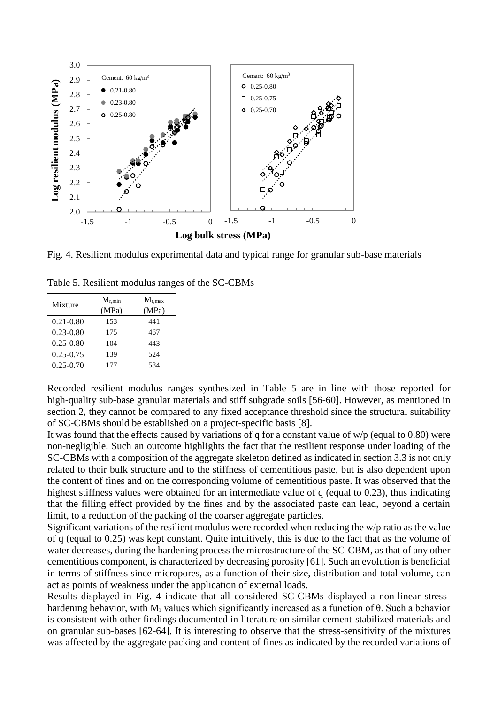

Fig. 4. Resilient modulus experimental data and typical range for granular sub-base materials

| Mixture       | $M_{r,min}$ | $M_{r,max}$ |
|---------------|-------------|-------------|
|               | (MPa)       | (MPa)       |
| $0.21 - 0.80$ | 153         | 441         |
| $0.23 - 0.80$ | 175         | 467         |
| $0.25 - 0.80$ | 104         | 443         |
| $0.25 - 0.75$ | 139         | 524         |
| $0.25 - 0.70$ | 177         | 584         |

Recorded resilient modulus ranges synthesized in Table 5 are in line with those reported for high-quality sub-base granular materials and stiff subgrade soils [56-60]. However, as mentioned in section 2, they cannot be compared to any fixed acceptance threshold since the structural suitability of SC-CBMs should be established on a project-specific basis [8].

It was found that the effects caused by variations of q for a constant value of  $w/p$  (equal to 0.80) were non-negligible. Such an outcome highlights the fact that the resilient response under loading of the SC-CBMs with a composition of the aggregate skeleton defined as indicated in section 3.3 is not only related to their bulk structure and to the stiffness of cementitious paste, but is also dependent upon the content of fines and on the corresponding volume of cementitious paste. It was observed that the highest stiffness values were obtained for an intermediate value of q (equal to 0.23), thus indicating that the filling effect provided by the fines and by the associated paste can lead, beyond a certain limit, to a reduction of the packing of the coarser aggregate particles.

Significant variations of the resilient modulus were recorded when reducing the w/p ratio as the value of q (equal to 0.25) was kept constant. Quite intuitively, this is due to the fact that as the volume of water decreases, during the hardening process the microstructure of the SC-CBM, as that of any other cementitious component, is characterized by decreasing porosity [61]. Such an evolution is beneficial in terms of stiffness since micropores, as a function of their size, distribution and total volume, can act as points of weakness under the application of external loads.

Results displayed in Fig. 4 indicate that all considered SC-CBMs displayed a non-linear stresshardening behavior, with M<sub>r</sub> values which significantly increased as a function of  $\theta$ . Such a behavior is consistent with other findings documented in literature on similar cement-stabilized materials and on granular sub-bases [62-64]. It is interesting to observe that the stress-sensitivity of the mixtures was affected by the aggregate packing and content of fines as indicated by the recorded variations of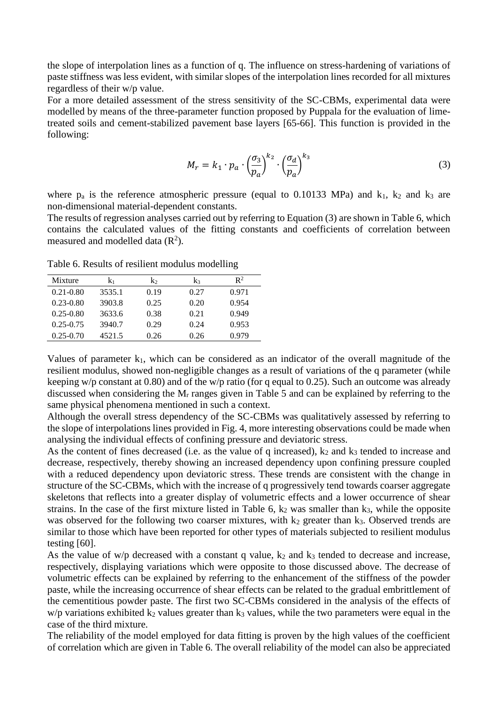the slope of interpolation lines as a function of q. The influence on stress-hardening of variations of paste stiffness was less evident, with similar slopes of the interpolation lines recorded for all mixtures regardless of their w/p value.

For a more detailed assessment of the stress sensitivity of the SC-CBMs, experimental data were modelled by means of the three-parameter function proposed by Puppala for the evaluation of limetreated soils and cement-stabilized pavement base layers [65-66]. This function is provided in the following:

$$
M_r = k_1 \cdot p_a \cdot \left(\frac{\sigma_3}{p_a}\right)^{k_2} \cdot \left(\frac{\sigma_d}{p_a}\right)^{k_3} \tag{3}
$$

where  $p_a$  is the reference atmospheric pressure (equal to 0.10133 MPa) and  $k_1$ ,  $k_2$  and  $k_3$  are non-dimensional material-dependent constants.

The results of regression analyses carried out by referring to Equation (3) are shown in Table 6, which contains the calculated values of the fitting constants and coefficients of correlation between measured and modelled data  $(R^2)$ .

Table 6. Results of resilient modulus modelling

| Mixture       | k1     | $k_2$ | $k_3$ | $\mathsf{R}^2$ |
|---------------|--------|-------|-------|----------------|
| $0.21 - 0.80$ | 3535.1 | 0.19  | 0.27  | 0.971          |
| $0.23 - 0.80$ | 3903.8 | 0.25  | 0.20  | 0.954          |
| $0.25 - 0.80$ | 3633.6 | 0.38  | 0.21  | 0.949          |
| $0.25 - 0.75$ | 3940.7 | 0.29  | 0.24  | 0.953          |
| $0.25 - 0.70$ | 4521.5 | 0.26  | 0.26  | 0.979          |

Values of parameter  $k_1$ , which can be considered as an indicator of the overall magnitude of the resilient modulus, showed non-negligible changes as a result of variations of the q parameter (while keeping w/p constant at 0.80) and of the w/p ratio (for q equal to 0.25). Such an outcome was already discussed when considering the M<sub>r</sub> ranges given in Table 5 and can be explained by referring to the same physical phenomena mentioned in such a context.

Although the overall stress dependency of the SC-CBMs was qualitatively assessed by referring to the slope of interpolations lines provided in Fig. 4, more interesting observations could be made when analysing the individual effects of confining pressure and deviatoric stress.

As the content of fines decreased (i.e. as the value of q increased),  $k_2$  and  $k_3$  tended to increase and decrease, respectively, thereby showing an increased dependency upon confining pressure coupled with a reduced dependency upon deviatoric stress. These trends are consistent with the change in structure of the SC-CBMs, which with the increase of q progressively tend towards coarser aggregate skeletons that reflects into a greater display of volumetric effects and a lower occurrence of shear strains. In the case of the first mixture listed in Table 6,  $k_2$  was smaller than  $k_3$ , while the opposite was observed for the following two coarser mixtures, with  $k_2$  greater than  $k_3$ . Observed trends are similar to those which have been reported for other types of materials subjected to resilient modulus testing [60].

As the value of  $w/p$  decreased with a constant q value,  $k_2$  and  $k_3$  tended to decrease and increase, respectively, displaying variations which were opposite to those discussed above. The decrease of volumetric effects can be explained by referring to the enhancement of the stiffness of the powder paste, while the increasing occurrence of shear effects can be related to the gradual embrittlement of the cementitious powder paste. The first two SC-CBMs considered in the analysis of the effects of  $w/p$  variations exhibited  $k_2$  values greater than  $k_3$  values, while the two parameters were equal in the case of the third mixture.

The reliability of the model employed for data fitting is proven by the high values of the coefficient of correlation which are given in Table 6. The overall reliability of the model can also be appreciated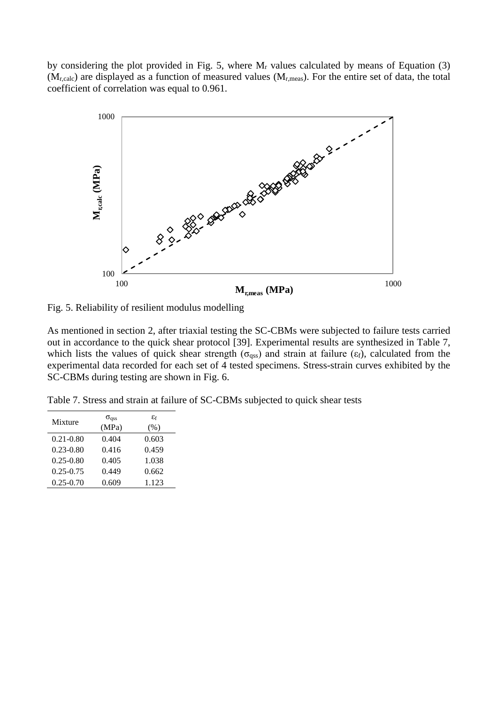by considering the plot provided in Fig. 5, where  $M_r$  values calculated by means of Equation (3)  $(M_{r,calc})$  are displayed as a function of measured values  $(M_{r,meas})$ . For the entire set of data, the total coefficient of correlation was equal to 0.961.



Fig. 5. Reliability of resilient modulus modelling

As mentioned in section 2, after triaxial testing the SC-CBMs were subjected to failure tests carried out in accordance to the quick shear protocol [39]. Experimental results are synthesized in Table 7, which lists the values of quick shear strength ( $\sigma$ <sub>qss</sub>) and strain at failure ( $\epsilon$ <sub>f</sub>), calculated from the experimental data recorded for each set of 4 tested specimens. Stress-strain curves exhibited by the SC-CBMs during testing are shown in Fig. 6.

Table 7. Stress and strain at failure of SC-CBMs subjected to quick shear tests

| Mixture       | $\sigma_{\rm dss}$ | $\varepsilon_{\rm f}$ |
|---------------|--------------------|-----------------------|
|               | (MPa)              | (% )                  |
| $0.21 - 0.80$ | 0.404              | 0.603                 |
| $0.23 - 0.80$ | 0.416              | 0.459                 |
| $0.25 - 0.80$ | 0.405              | 1.038                 |
| $0.25 - 0.75$ | 0.449              | 0.662                 |
| $0.25 - 0.70$ | 0.609              | 1.123                 |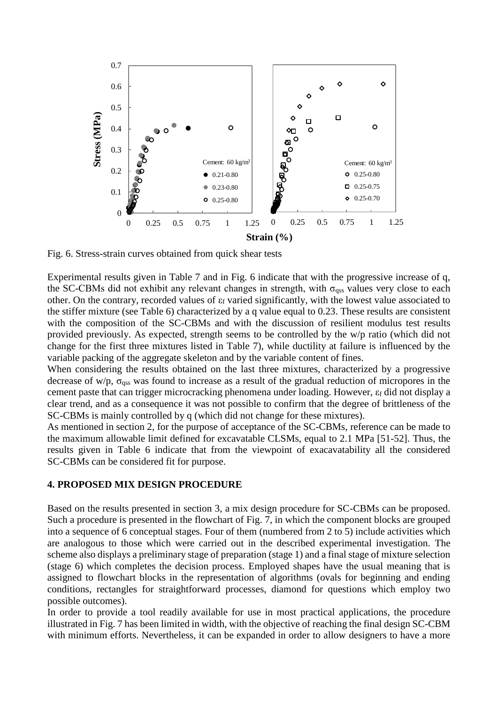

Fig. 6. Stress-strain curves obtained from quick shear tests

Experimental results given in Table 7 and in Fig. 6 indicate that with the progressive increase of q, the SC-CBMs did not exhibit any relevant changes in strength, with  $\sigma_{qss}$  values very close to each other. On the contrary, recorded values of ε<sup>f</sup> varied significantly, with the lowest value associated to the stiffer mixture (see Table 6) characterized by a q value equal to 0.23. These results are consistent with the composition of the SC-CBMs and with the discussion of resilient modulus test results provided previously. As expected, strength seems to be controlled by the w/p ratio (which did not change for the first three mixtures listed in Table 7), while ductility at failure is influenced by the variable packing of the aggregate skeleton and by the variable content of fines.

When considering the results obtained on the last three mixtures, characterized by a progressive decrease of w/p,  $\sigma_{\text{ass}}$  was found to increase as a result of the gradual reduction of micropores in the cement paste that can trigger microcracking phenomena under loading. However, ε<sub>f</sub> did not display a clear trend, and as a consequence it was not possible to confirm that the degree of brittleness of the SC-CBMs is mainly controlled by q (which did not change for these mixtures).

As mentioned in section 2, for the purpose of acceptance of the SC-CBMs, reference can be made to the maximum allowable limit defined for excavatable CLSMs, equal to 2.1 MPa [51-52]. Thus, the results given in Table 6 indicate that from the viewpoint of exacavatability all the considered SC-CBMs can be considered fit for purpose.

#### **4. PROPOSED MIX DESIGN PROCEDURE**

Based on the results presented in section 3, a mix design procedure for SC-CBMs can be proposed. Such a procedure is presented in the flowchart of Fig. 7, in which the component blocks are grouped into a sequence of 6 conceptual stages. Four of them (numbered from 2 to 5) include activities which are analogous to those which were carried out in the described experimental investigation. The scheme also displays a preliminary stage of preparation (stage 1) and a final stage of mixture selection (stage 6) which completes the decision process. Employed shapes have the usual meaning that is assigned to flowchart blocks in the representation of algorithms (ovals for beginning and ending conditions, rectangles for straightforward processes, diamond for questions which employ two possible outcomes).

In order to provide a tool readily available for use in most practical applications, the procedure illustrated in Fig. 7 has been limited in width, with the objective of reaching the final design SC-CBM with minimum efforts. Nevertheless, it can be expanded in order to allow designers to have a more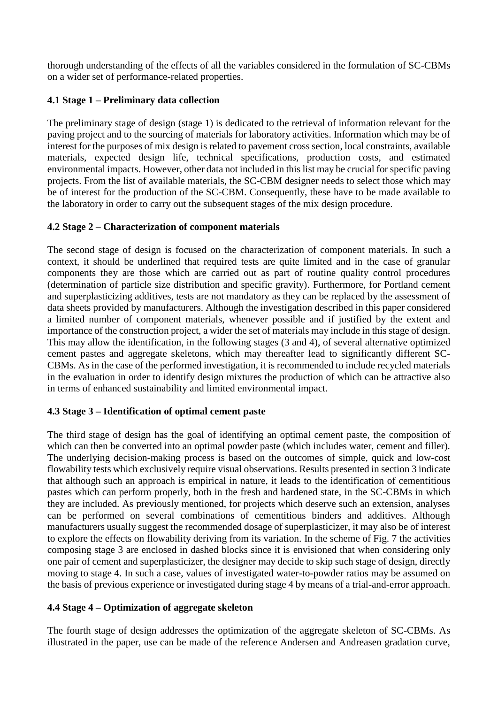thorough understanding of the effects of all the variables considered in the formulation of SC-CBMs on a wider set of performance-related properties.

## **4.1 Stage 1 – Preliminary data collection**

The preliminary stage of design (stage 1) is dedicated to the retrieval of information relevant for the paving project and to the sourcing of materials for laboratory activities. Information which may be of interest for the purposes of mix design is related to pavement cross section, local constraints, available materials, expected design life, technical specifications, production costs, and estimated environmental impacts. However, other data not included in this list may be crucial for specific paving projects. From the list of available materials, the SC-CBM designer needs to select those which may be of interest for the production of the SC-CBM. Consequently, these have to be made available to the laboratory in order to carry out the subsequent stages of the mix design procedure.

## **4.2 Stage 2 – Characterization of component materials**

The second stage of design is focused on the characterization of component materials. In such a context, it should be underlined that required tests are quite limited and in the case of granular components they are those which are carried out as part of routine quality control procedures (determination of particle size distribution and specific gravity). Furthermore, for Portland cement and superplasticizing additives, tests are not mandatory as they can be replaced by the assessment of data sheets provided by manufacturers. Although the investigation described in this paper considered a limited number of component materials, whenever possible and if justified by the extent and importance of the construction project, a wider the set of materials may include in this stage of design. This may allow the identification, in the following stages (3 and 4), of several alternative optimized cement pastes and aggregate skeletons, which may thereafter lead to significantly different SC-CBMs. As in the case of the performed investigation, it is recommended to include recycled materials in the evaluation in order to identify design mixtures the production of which can be attractive also in terms of enhanced sustainability and limited environmental impact.

## **4.3 Stage 3 – Identification of optimal cement paste**

The third stage of design has the goal of identifying an optimal cement paste, the composition of which can then be converted into an optimal powder paste (which includes water, cement and filler). The underlying decision-making process is based on the outcomes of simple, quick and low-cost flowability tests which exclusively require visual observations. Results presented in section 3 indicate that although such an approach is empirical in nature, it leads to the identification of cementitious pastes which can perform properly, both in the fresh and hardened state, in the SC-CBMs in which they are included. As previously mentioned, for projects which deserve such an extension, analyses can be performed on several combinations of cementitious binders and additives. Although manufacturers usually suggest the recommended dosage of superplasticizer, it may also be of interest to explore the effects on flowability deriving from its variation. In the scheme of Fig. 7 the activities composing stage 3 are enclosed in dashed blocks since it is envisioned that when considering only one pair of cement and superplasticizer, the designer may decide to skip such stage of design, directly moving to stage 4. In such a case, values of investigated water-to-powder ratios may be assumed on the basis of previous experience or investigated during stage 4 by means of a trial-and-error approach.

## **4.4 Stage 4 – Optimization of aggregate skeleton**

The fourth stage of design addresses the optimization of the aggregate skeleton of SC-CBMs. As illustrated in the paper, use can be made of the reference Andersen and Andreasen gradation curve,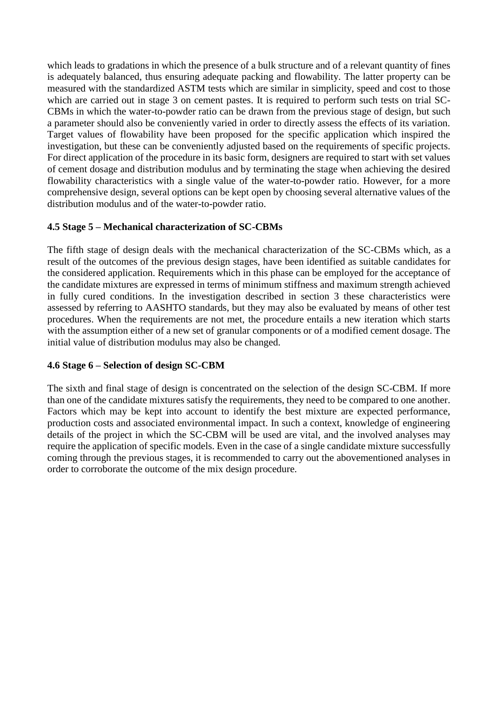which leads to gradations in which the presence of a bulk structure and of a relevant quantity of fines is adequately balanced, thus ensuring adequate packing and flowability. The latter property can be measured with the standardized ASTM tests which are similar in simplicity, speed and cost to those which are carried out in stage 3 on cement pastes. It is required to perform such tests on trial SC-CBMs in which the water-to-powder ratio can be drawn from the previous stage of design, but such a parameter should also be conveniently varied in order to directly assess the effects of its variation. Target values of flowability have been proposed for the specific application which inspired the investigation, but these can be conveniently adjusted based on the requirements of specific projects. For direct application of the procedure in its basic form, designers are required to start with set values of cement dosage and distribution modulus and by terminating the stage when achieving the desired flowability characteristics with a single value of the water-to-powder ratio. However, for a more comprehensive design, several options can be kept open by choosing several alternative values of the distribution modulus and of the water-to-powder ratio.

## **4.5 Stage 5 – Mechanical characterization of SC-CBMs**

The fifth stage of design deals with the mechanical characterization of the SC-CBMs which, as a result of the outcomes of the previous design stages, have been identified as suitable candidates for the considered application. Requirements which in this phase can be employed for the acceptance of the candidate mixtures are expressed in terms of minimum stiffness and maximum strength achieved in fully cured conditions. In the investigation described in section 3 these characteristics were assessed by referring to AASHTO standards, but they may also be evaluated by means of other test procedures. When the requirements are not met, the procedure entails a new iteration which starts with the assumption either of a new set of granular components or of a modified cement dosage. The initial value of distribution modulus may also be changed.

## **4.6 Stage 6 – Selection of design SC-CBM**

The sixth and final stage of design is concentrated on the selection of the design SC-CBM. If more than one of the candidate mixtures satisfy the requirements, they need to be compared to one another. Factors which may be kept into account to identify the best mixture are expected performance, production costs and associated environmental impact. In such a context, knowledge of engineering details of the project in which the SC-CBM will be used are vital, and the involved analyses may require the application of specific models. Even in the case of a single candidate mixture successfully coming through the previous stages, it is recommended to carry out the abovementioned analyses in order to corroborate the outcome of the mix design procedure.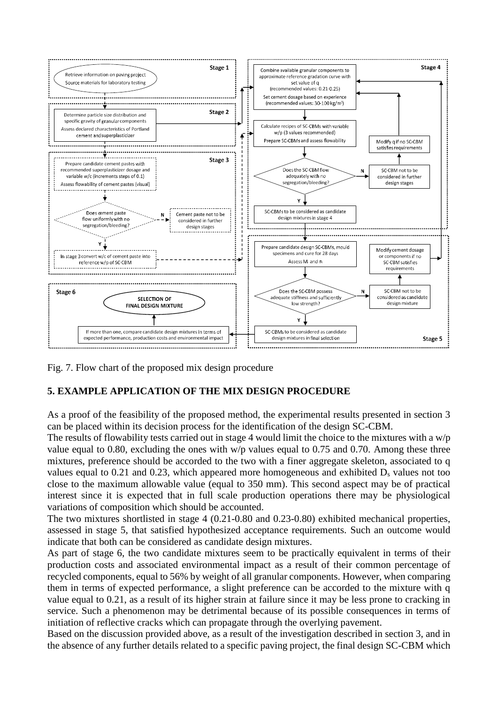

Fig. 7. Flow chart of the proposed mix design procedure

## **5. EXAMPLE APPLICATION OF THE MIX DESIGN PROCEDURE**

As a proof of the feasibility of the proposed method, the experimental results presented in section 3 can be placed within its decision process for the identification of the design SC-CBM.

The results of flowability tests carried out in stage 4 would limit the choice to the mixtures with a w/p value equal to 0.80, excluding the ones with w/p values equal to 0.75 and 0.70. Among these three mixtures, preference should be accorded to the two with a finer aggregate skeleton, associated to q values equal to 0.21 and 0.23, which appeared more homogeneous and exhibited  $D_s$  values not too close to the maximum allowable value (equal to 350 mm). This second aspect may be of practical interest since it is expected that in full scale production operations there may be physiological variations of composition which should be accounted.

The two mixtures shortlisted in stage 4 (0.21-0.80 and 0.23-0.80) exhibited mechanical properties, assessed in stage 5, that satisfied hypothesized acceptance requirements. Such an outcome would indicate that both can be considered as candidate design mixtures.

As part of stage 6, the two candidate mixtures seem to be practically equivalent in terms of their production costs and associated environmental impact as a result of their common percentage of recycled components, equal to 56% by weight of all granular components. However, when comparing them in terms of expected performance, a slight preference can be accorded to the mixture with q value equal to 0.21, as a result of its higher strain at failure since it may be less prone to cracking in service. Such a phenomenon may be detrimental because of its possible consequences in terms of initiation of reflective cracks which can propagate through the overlying pavement.

Based on the discussion provided above, as a result of the investigation described in section 3, and in the absence of any further details related to a specific paving project, the final design SC-CBM which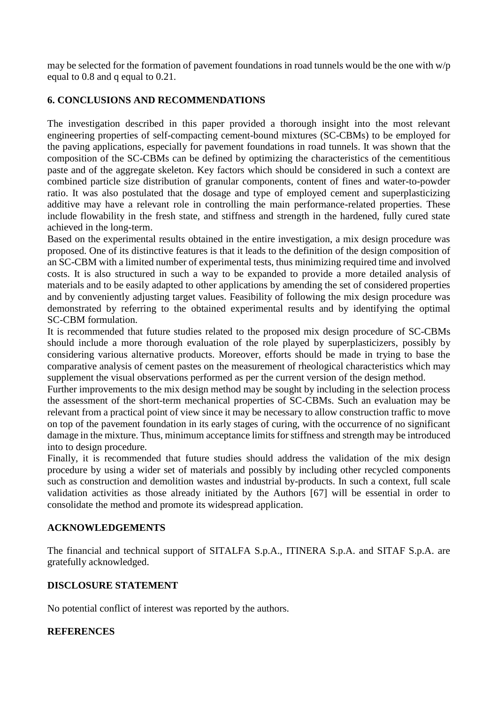may be selected for the formation of pavement foundations in road tunnels would be the one with w/p equal to 0.8 and q equal to 0.21.

## **6. CONCLUSIONS AND RECOMMENDATIONS**

The investigation described in this paper provided a thorough insight into the most relevant engineering properties of self-compacting cement-bound mixtures (SC-CBMs) to be employed for the paving applications, especially for pavement foundations in road tunnels. It was shown that the composition of the SC-CBMs can be defined by optimizing the characteristics of the cementitious paste and of the aggregate skeleton. Key factors which should be considered in such a context are combined particle size distribution of granular components, content of fines and water-to-powder ratio. It was also postulated that the dosage and type of employed cement and superplasticizing additive may have a relevant role in controlling the main performance-related properties. These include flowability in the fresh state, and stiffness and strength in the hardened, fully cured state achieved in the long-term.

Based on the experimental results obtained in the entire investigation, a mix design procedure was proposed. One of its distinctive features is that it leads to the definition of the design composition of an SC-CBM with a limited number of experimental tests, thus minimizing required time and involved costs. It is also structured in such a way to be expanded to provide a more detailed analysis of materials and to be easily adapted to other applications by amending the set of considered properties and by conveniently adjusting target values. Feasibility of following the mix design procedure was demonstrated by referring to the obtained experimental results and by identifying the optimal SC-CBM formulation.

It is recommended that future studies related to the proposed mix design procedure of SC-CBMs should include a more thorough evaluation of the role played by superplasticizers, possibly by considering various alternative products. Moreover, efforts should be made in trying to base the comparative analysis of cement pastes on the measurement of rheological characteristics which may supplement the visual observations performed as per the current version of the design method.

Further improvements to the mix design method may be sought by including in the selection process the assessment of the short-term mechanical properties of SC-CBMs. Such an evaluation may be relevant from a practical point of view since it may be necessary to allow construction traffic to move on top of the pavement foundation in its early stages of curing, with the occurrence of no significant damage in the mixture. Thus, minimum acceptance limits for stiffness and strength may be introduced into to design procedure.

Finally, it is recommended that future studies should address the validation of the mix design procedure by using a wider set of materials and possibly by including other recycled components such as construction and demolition wastes and industrial by-products. In such a context, full scale validation activities as those already initiated by the Authors [67] will be essential in order to consolidate the method and promote its widespread application.

## **ACKNOWLEDGEMENTS**

The financial and technical support of SITALFA S.p.A., ITINERA S.p.A. and SITAF S.p.A. are gratefully acknowledged.

### **DISCLOSURE STATEMENT**

No potential conflict of interest was reported by the authors.

## **REFERENCES**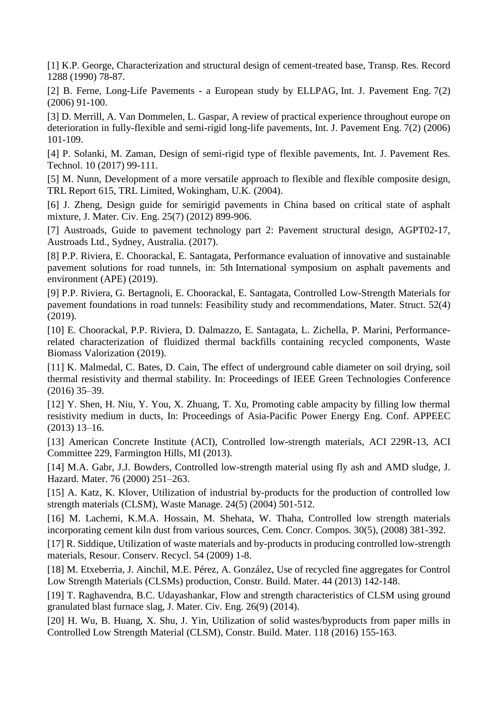[1] K.P. George, Characterization and structural design of cement-treated base, Transp. Res. Record 1288 (1990) 78-87.

[2] B. Ferne, Long-Life Pavements - a European study by ELLPAG, Int. J. Pavement Eng. 7(2) (2006) 91-100.

[3] D. Merrill, A. Van Dommelen, L. Gaspar, A review of practical experience throughout europe on deterioration in fully-flexible and semi-rigid long-life pavements, Int. J. Pavement Eng. 7(2) (2006) 101-109.

[4] P. Solanki, M. Zaman, Design of semi-rigid type of flexible pavements, Int. J. Pavement Res. Technol. 10 (2017) 99-111.

[5] M. Nunn, Development of a more versatile approach to flexible and flexible composite design, TRL Report 615, TRL Limited, Wokingham, U.K. (2004).

[6] J. Zheng, Design guide for semirigid pavements in China based on critical state of asphalt mixture, J. Mater. Civ. Eng. 25(7) (2012) 899-906.

[7] Austroads, Guide to pavement technology part 2: Pavement structural design, AGPT02-17, Austroads Ltd., Sydney, Australia. (2017).

[8] P.P. Riviera, E. Choorackal, E. Santagata, Performance evaluation of innovative and sustainable pavement solutions for road tunnels, in: 5th International symposium on asphalt pavements and environment (APE) (2019).

[9] P.P. Riviera, G. Bertagnoli, E. Choorackal, E. Santagata, Controlled Low-Strength Materials for pavement foundations in road tunnels: Feasibility study and recommendations, Mater. Struct. 52(4) (2019).

[10] E. Choorackal, P.P. Riviera, D. Dalmazzo, E. Santagata, L. Zichella, P. Marini, Performancerelated characterization of fluidized thermal backfills containing recycled components, Waste Biomass Valorization (2019).

[11] K. Malmedal, C. Bates, D. Cain, The effect of underground cable diameter on soil drying, soil thermal resistivity and thermal stability. In: Proceedings of IEEE Green Technologies Conference (2016) 35–39.

[12] Y. Shen, H. Niu, Y. You, X. Zhuang, T. Xu, Promoting cable ampacity by filling low thermal resistivity medium in ducts, In: Proceedings of Asia-Pacific Power Energy Eng. Conf. APPEEC (2013) 13–16.

[13] American Concrete Institute (ACI), Controlled low-strength materials, ACI 229R-13, ACI Committee 229, Farmington Hills, MI (2013).

[14] M.A. Gabr, J.J. Bowders, Controlled low-strength material using fly ash and AMD sludge, J. Hazard. Mater. 76 (2000) 251–263.

[15] A. Katz, K. Klover, Utilization of industrial by-products for the production of controlled low strength materials (CLSM), Waste Manage. 24(5) (2004) 501-512.

[16] M. Lachemi, K.M.A. Hossain, M. Shehata, W. Thaha, Controlled low strength materials incorporating cement kiln dust from various sources, Cem. Concr. Compos. 30(5), (2008) 381-392.

[17] R. Siddique, Utilization of waste materials and by-products in producing controlled low-strength materials, Resour. Conserv. Recycl. 54 (2009) 1-8.

[18] M. Etxeberria, J. Ainchil, M.E. Pérez, A. González, Use of recycled fine aggregates for Control Low Strength Materials (CLSMs) production, Constr. Build. Mater. 44 (2013) 142-148.

[19] T. Raghavendra, B.C. Udayashankar, Flow and strength characteristics of CLSM using ground granulated blast furnace slag, J. Mater. Civ. Eng. 26(9) (2014).

[20] H. Wu, B. Huang, X. Shu, J. Yin, Utilization of solid wastes/byproducts from paper mills in Controlled Low Strength Material (CLSM), Constr. Build. Mater. 118 (2016) 155-163.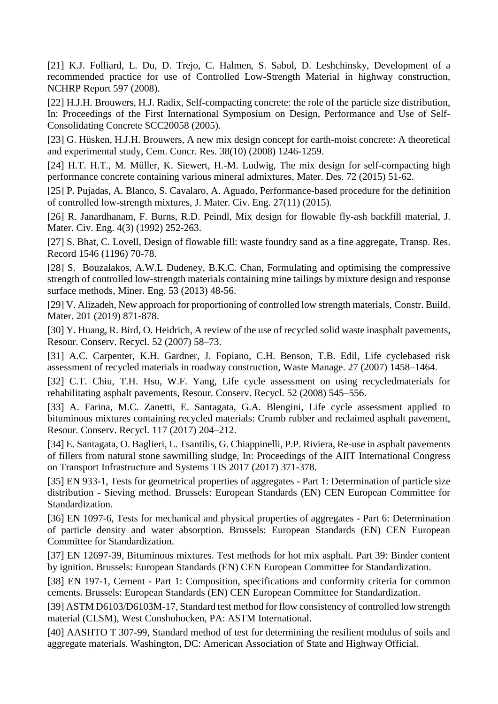[21] K.J. Folliard, L. Du, D. Trejo, C. Halmen, S. Sabol, D. Leshchinsky, Development of a recommended practice for use of Controlled Low-Strength Material in highway construction, NCHRP Report 597 (2008).

[22] H.J.H. Brouwers, H.J. Radix, Self-compacting concrete: the role of the particle size distribution, In: Proceedings of the First International Symposium on Design, Performance and Use of Self-Consolidating Concrete SCC20058 (2005).

[23] G. Hüsken, H.J.H. Brouwers, A new mix design concept for earth-moist concrete: A theoretical and experimental study, Cem. Concr. Res. 38(10) (2008) 1246-1259.

[24] H.T. H.T., M. Müller, K. Siewert, H.-M. Ludwig, The mix design for self-compacting high performance concrete containing various mineral admixtures, Mater. Des. 72 (2015) 51-62.

[25] P. Pujadas, A. Blanco, S. Cavalaro, A. Aguado, Performance-based procedure for the definition of controlled low-strength mixtures, J. Mater. Civ. Eng. 27(11) (2015).

[26] R. Janardhanam, F. Burns, R.D. Peindl, Mix design for flowable fly-ash backfill material, J. Mater. Civ. Eng. 4(3) (1992) 252-263.

[27] S. Bhat, C. Lovell, Design of flowable fill: waste foundry sand as a fine aggregate, Transp. Res. Record 1546 (1196) 70-78.

[28] S. Bouzalakos, A.W.L Dudeney, B.K.C. Chan, Formulating and optimising the compressive strength of controlled low-strength materials containing mine tailings by mixture design and response surface methods, Miner. Eng. 53 (2013) 48-56.

[29] V. Alizadeh, New approach for proportioning of controlled low strength materials, Constr. Build. Mater. 201 (2019) 871-878.

[30] Y. Huang, R. Bird, O. Heidrich, A review of the use of recycled solid waste inasphalt pavements, Resour. Conserv. Recycl. 52 (2007) 58–73.

[31] A.C. Carpenter, K.H. Gardner, J. Fopiano, C.H. Benson, T.B. Edil, Life cyclebased risk assessment of recycled materials in roadway construction, Waste Manage. 27 (2007) 1458–1464.

[32] C.T. Chiu, T.H. Hsu, W.F. Yang, Life cycle assessment on using recycledmaterials for rehabilitating asphalt pavements, Resour. Conserv. Recycl. 52 (2008) 545–556.

[33] A. Farina, M.C. Zanetti, E. Santagata, G.A. Blengini, Life cycle assessment applied to bituminous mixtures containing recycled materials: Crumb rubber and reclaimed asphalt pavement, Resour. Conserv. Recycl. 117 (2017) 204–212.

[34] E. [Santagata,](https://www-scopus-com.ezproxy.biblio.polito.it/authid/detail.uri?origin=AuthorProfile&authorId=12807554400&zone=) O. [Baglieri, L.](https://www-scopus-com.ezproxy.biblio.polito.it/authid/detail.uri?origin=AuthorProfile&authorId=26433135200&zone=) [Tsantilis, G](https://www-scopus-com.ezproxy.biblio.polito.it/authid/detail.uri?origin=AuthorProfile&authorId=35811575000&zone=). [Chiappinelli, P](https://www-scopus-com.ezproxy.biblio.polito.it/authid/detail.uri?origin=AuthorProfile&authorId=35797050700&zone=).P[. Riviera, R](https://www-scopus-com.ezproxy.biblio.polito.it/authid/detail.uri?origin=AuthorProfile&authorId=35797505500&zone=)e-use in asphalt pavements of fillers from natural stone sawmilling sludge, In: Proceedings of the AIIT International Congress on Transport Infrastructure and Systems TIS 2017 (2017) 371-378.

[35] EN 933-1, Tests for geometrical properties of aggregates - Part 1: Determination of particle size distribution - Sieving method. Brussels: European Standards (EN) CEN European Committee for Standardization.

[36] EN 1097-6, Tests for mechanical and physical properties of aggregates - Part 6: Determination of particle density and water absorption. Brussels: European Standards (EN) CEN European Committee for Standardization.

[37] EN 12697-39, Bituminous mixtures. Test methods for hot mix asphalt. Part 39: Binder content by ignition. Brussels: European Standards (EN) CEN European Committee for Standardization.

[38] EN 197-1, Cement - Part 1: Composition, specifications and conformity criteria for common cements. Brussels: European Standards (EN) CEN European Committee for Standardization.

[39] ASTM D6103/D6103M-17, Standard test method for flow consistency of controlled low strength material (CLSM), West Conshohocken, PA: ASTM International.

[40] AASHTO T 307-99, Standard method of test for determining the resilient modulus of soils and aggregate materials. Washington, DC: American Association of State and Highway Official.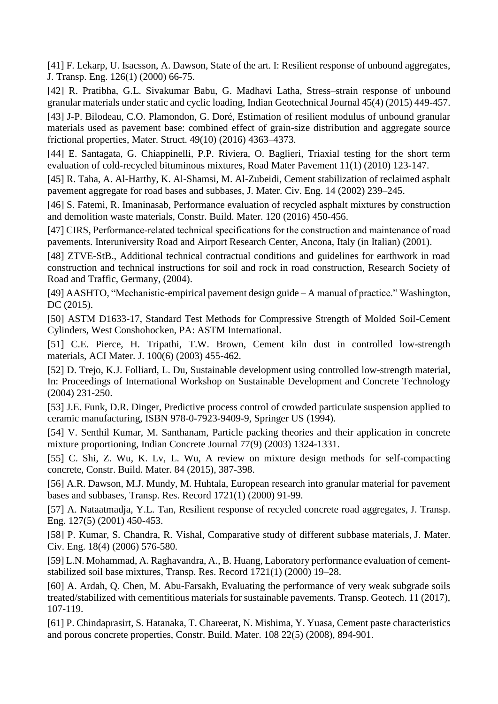[41] F. Lekarp, U. Isacsson, A. Dawson, State of the art. I: Resilient response of unbound aggregates, J. Transp. Eng. 126(1) (2000) 66-75.

[42] R. Pratibha, G.L. Sivakumar Babu, G. Madhavi Latha, Stress–strain response of unbound granular materials under static and cyclic loading, Indian Geotechnical Journal 45(4) (2015) 449-457.

[43] J-P. Bilodeau, C.O. Plamondon, G. Doré, Estimation of resilient modulus of unbound granular materials used as pavement base: combined effect of grain-size distribution and aggregate source frictional properties, Mater. Struct. 49(10) (2016) 4363–4373.

[44] E. Santagata, G. Chiappinelli, P.P. Riviera, O. Baglieri, Triaxial testing for the short term evaluation of cold-recycled bituminous mixtures, Road Mater Pavement 11(1) (2010) 123-147.

[45] R. Taha, A. Al-Harthy, K. Al-Shamsi, M. Al-Zubeidi, Cement stabilization of reclaimed asphalt pavement aggregate for road bases and subbases, J. Mater. Civ. Eng. 14 (2002) 239–245.

[46] S. Fatemi, R. Imaninasab, Performance evaluation of recycled asphalt mixtures by construction and demolition waste materials, Constr. Build. Mater. 120 (2016) 450-456.

[47] CIRS, Performance-related technical specifications for the construction and maintenance of road pavements. Interuniversity Road and Airport Research Center, Ancona, Italy (in Italian) (2001).

[48] ZTVE-StB., Additional technical contractual conditions and guidelines for earthwork in road construction and technical instructions for soil and rock in road construction, Research Society of Road and Traffic, Germany, (2004).

[49] AASHTO, "Mechanistic-empirical pavement design guide – A manual of practice." Washington, DC (2015).

[50] ASTM D1633-17, Standard Test Methods for Compressive Strength of Molded Soil-Cement Cylinders, West Conshohocken, PA: ASTM International.

[51] C.E. Pierce, H. Tripathi, T.W. Brown, Cement kiln dust in controlled low-strength materials, ACI Mater. J. 100(6) (2003) 455-462.

[52] D. Trejo, K.J. Folliard, L. Du, Sustainable development using controlled low-strength material, In: Proceedings of International Workshop on Sustainable Development and Concrete Technology (2004) 231-250.

[53] J.E. Funk, D.R. Dinger, Predictive process control of crowded particulate suspension applied to ceramic manufacturing, ISBN 978-0-7923-9409-9, Springer US (1994).

[54] V. Senthil Kumar, M. Santhanam, Particle packing theories and their application in concrete mixture proportioning, Indian Concrete Journal 77(9) (2003) 1324-1331.

[55] C. Shi, Z. Wu, K. Lv, L. Wu, A review on mixture design methods for self-compacting concrete, Constr. Build. Mater. 84 (2015), 387-398.

[56] A.R. Dawson, M.J. Mundy, M. Huhtala, European research into granular material for pavement bases and subbases, Transp. Res. Record 1721(1) (2000) 91-99.

[57] A. Nataatmadja, Y.L. Tan, Resilient response of recycled concrete road aggregates, J. Transp. Eng. 127(5) (2001) 450-453.

[58] P. Kumar, S. Chandra, R. Vishal, Comparative study of different subbase materials, J. Mater. Civ. Eng. 18(4) (2006) 576-580.

[59] L.N. Mohammad, A. Raghavandra, A., B. Huang, Laboratory performance evaluation of cementstabilized soil base mixtures, Transp. Res. Record 1721(1) (2000) 19–28.

[60] A. Ardah, Q. Chen, M. Abu-Farsakh, Evaluating the performance of very weak subgrade soils treated/stabilized with cementitious materials for sustainable pavements. Transp. Geotech. 11 (2017), 107-119.

[61] P. Chindaprasirt, S. Hatanaka, T. Chareerat, N. Mishima, Y. Yuasa, Cement paste characteristics and porous concrete properties, Constr. Build. Mater. 108 22(5) (2008), 894-901.